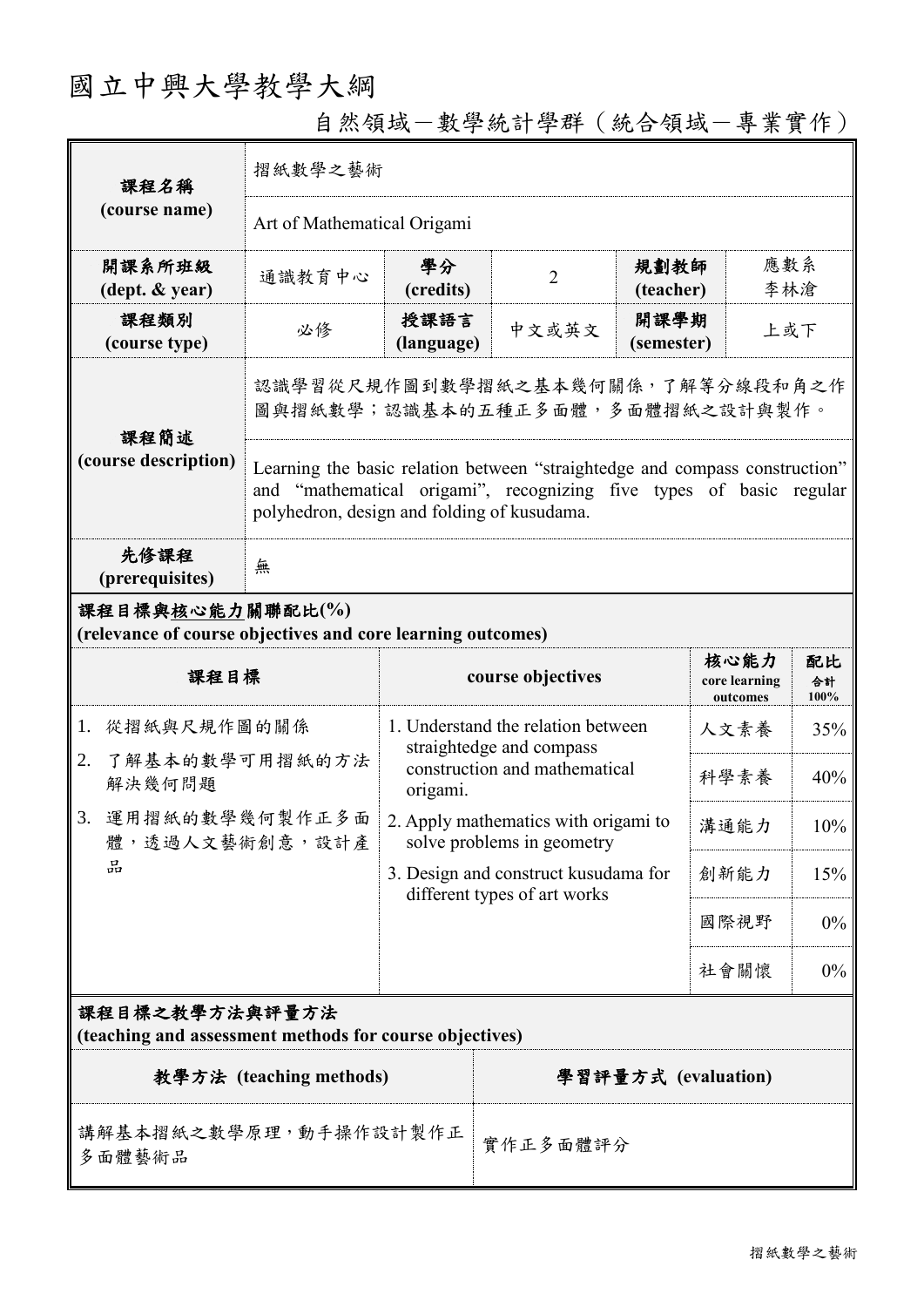## 國立中興大學教學大綱

| 課程名稱<br>(course name)                                                           | 摺紙數學之藝術                                                                                                                                                                                           |                                                                                                             |                |                                 |                                   |                  |  |
|---------------------------------------------------------------------------------|---------------------------------------------------------------------------------------------------------------------------------------------------------------------------------------------------|-------------------------------------------------------------------------------------------------------------|----------------|---------------------------------|-----------------------------------|------------------|--|
|                                                                                 | Art of Mathematical Origami                                                                                                                                                                       |                                                                                                             |                |                                 |                                   |                  |  |
| 開課系所班級<br>(dept. & year)                                                        | 通識教育中心                                                                                                                                                                                            | 學分<br>(credits)                                                                                             | $\overline{2}$ | 應數系<br>規劃教師<br>李林滄<br>(teacher) |                                   |                  |  |
| 課程類別<br>(course type)                                                           | 必修                                                                                                                                                                                                | 授課語言<br>(language)                                                                                          | 中文或英文          | 開課學期<br>(semester)              | 上或下                               |                  |  |
| 課程簡述<br>(course description)                                                    | 認識學習從尺規作圖到數學摺紙之基本幾何關係,了解等分線段和角之作<br>圖與摺紙數學;認識基本的五種正多面體,多面體摺紙之設計與製作。                                                                                                                               |                                                                                                             |                |                                 |                                   |                  |  |
|                                                                                 | Learning the basic relation between "straightedge and compass construction"<br>and "mathematical origami", recognizing five types of basic regular<br>polyhedron, design and folding of kusudama. |                                                                                                             |                |                                 |                                   |                  |  |
| 先修課程<br>(prerequisites)                                                         | 無                                                                                                                                                                                                 |                                                                                                             |                |                                 |                                   |                  |  |
| 課程目標與核心能力關聯配比(%)<br>(relevance of course objectives and core learning outcomes) |                                                                                                                                                                                                   |                                                                                                             |                |                                 |                                   |                  |  |
| 課程目標                                                                            |                                                                                                                                                                                                   | course objectives                                                                                           |                |                                 | 核心能力<br>core learning<br>outcomes | 配比<br>合計<br>100% |  |
| 1. 從摺紙與尺規作圖的關係                                                                  |                                                                                                                                                                                                   | 1. Understand the relation between<br>straightedge and compass<br>construction and mathematical<br>origami. |                |                                 | 人文素養                              | 35%              |  |
| 了解基本的數學可用摺紙的方法<br>2.<br>解決幾何問題                                                  |                                                                                                                                                                                                   |                                                                                                             |                |                                 | 科學素養                              | 40%              |  |
| 3. 運用摺紙的數學幾何製作正多面<br>,透過人文藝術創意,設計產<br>體                                         |                                                                                                                                                                                                   | 2. Apply mathematics with origami to<br>solve problems in geometry                                          |                |                                 | 溝通能力                              | 10%              |  |
| 品                                                                               |                                                                                                                                                                                                   | 3. Design and construct kusudama for<br>different types of art works                                        |                |                                 | 創新能力                              | 15%              |  |
|                                                                                 |                                                                                                                                                                                                   |                                                                                                             |                |                                 | 國際視野                              | $0\%$            |  |
|                                                                                 |                                                                                                                                                                                                   |                                                                                                             |                |                                 | 社會關懷                              | $0\%$            |  |
| 課程目標之教學方法與評量方法<br>(teaching and assessment methods for course objectives)       |                                                                                                                                                                                                   |                                                                                                             |                |                                 |                                   |                  |  |

自然領域-數學統計學群(統合領域-專業實作)

**(teaching and assessment methods for course objectives)**

| 教學方法 (teaching methods)         | 學習評量方式 (evaluation) |
|---------------------------------|---------------------|
| 講解基本摺紙之數學原理,動手操作設計製作正<br>多面體藝術品 | 實作正多面體評分            |